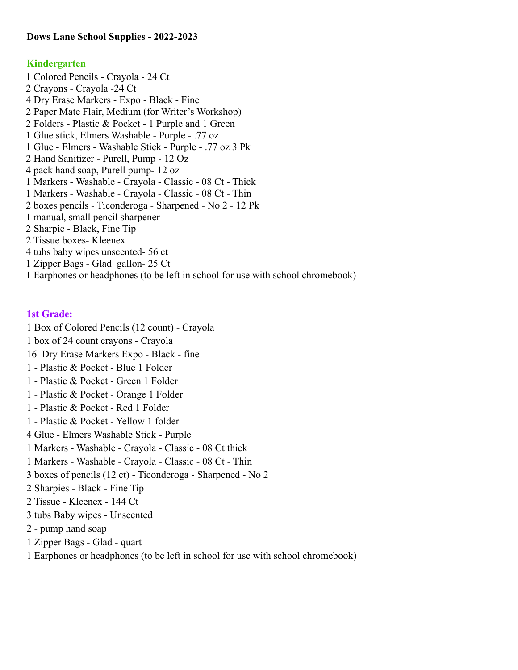# **Dows Lane School Supplies - 2022-2023**

### **Kindergarten**

1 Colored Pencils - Crayola - 24 Ct 2 Crayons - Crayola -24 Ct 4 Dry Erase Markers - Expo - Black - Fine 2 Paper Mate Flair, Medium (for Writer's Workshop) 2 Folders - Plastic & Pocket - 1 Purple and 1 Green 1 Glue stick, Elmers Washable - Purple - .77 oz 1 Glue - Elmers - Washable Stick - Purple - .77 oz 3 Pk 2 Hand Sanitizer - Purell, Pump - 12 Oz 4 pack hand soap, Purell pump- 12 oz 1 Markers - Washable - Crayola - Classic - 08 Ct - Thick 1 Markers - Washable - Crayola - Classic - 08 Ct - Thin 2 boxes pencils - Ticonderoga - Sharpened - No 2 - 12 Pk 1 manual, small pencil sharpener 2 Sharpie - Black, Fine Tip 2 Tissue boxes- Kleenex 4 tubs baby wipes unscented- 56 ct 1 Zipper Bags - Glad gallon- 25 Ct 1 Earphones or headphones (to be left in school for use with school chromebook)

### **1st Grade:**

1 Box of Colored Pencils (12 count) - Crayola

- 1 box of 24 count crayons Crayola
- 16 Dry Erase Markers Expo Black fine
- 1 Plastic & Pocket Blue 1 Folder
- 1 Plastic & Pocket Green 1 Folder
- 1 Plastic & Pocket Orange 1 Folder
- 1 Plastic & Pocket Red 1 Folder
- 1 Plastic & Pocket Yellow 1 folder
- 4 Glue Elmers Washable Stick Purple
- 1 Markers Washable Crayola Classic 08 Ct thick
- 1 Markers Washable Crayola Classic 08 Ct Thin
- 3 boxes of pencils (12 ct) Ticonderoga Sharpened No 2
- 2 Sharpies Black Fine Tip
- 2 Tissue Kleenex 144 Ct
- 3 tubs Baby wipes Unscented
- 2 pump hand soap
- 1 Zipper Bags Glad quart

1 Earphones or headphones (to be left in school for use with school chromebook)